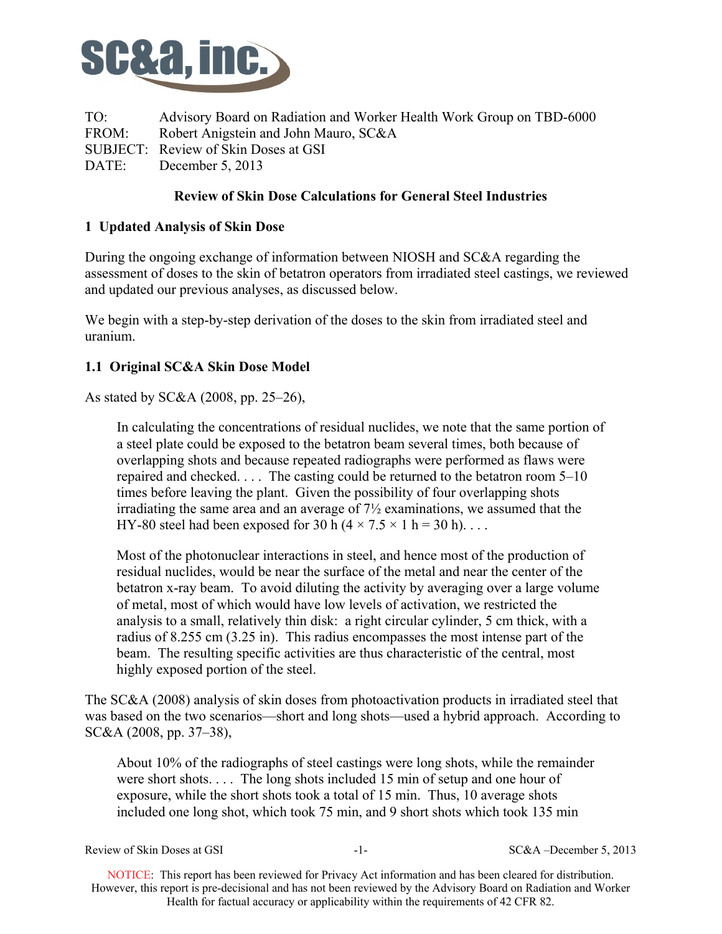

TO: Advisory Board on Radiation and Worker Health Work Group on TBD-6000 FROM: Robert Anigstein and John Mauro, SC&A SUBJECT: Review of Skin Doses at GSI DATE: December 5, 2013

# **Review of Skin Dose Calculations for General Steel Industries**

# **1 Updated Analysis of Skin Dose**

During the ongoing exchange of information between NIOSH and SC&A regarding the assessment of doses to the skin of betatron operators from irradiated steel castings, we reviewed and updated our previous analyses, as discussed below.

We begin with a step-by-step derivation of the doses to the skin from irradiated steel and uranium.

# **1.1 Original SC&A Skin Dose Model**

As stated by SC&A (2008, pp. 25–26),

In calculating the concentrations of residual nuclides, we note that the same portion of a steel plate could be exposed to the betatron beam several times, both because of overlapping shots and because repeated radiographs were performed as flaws were repaired and checked. . . . The casting could be returned to the betatron room 5–10 times before leaving the plant. Given the possibility of four overlapping shots irradiating the same area and an average of 7½ examinations, we assumed that the HY-80 steel had been exposed for 30 h ( $4 \times 7.5 \times 1$  h = 30 h)...

Most of the photonuclear interactions in steel, and hence most of the production of residual nuclides, would be near the surface of the metal and near the center of the betatron x-ray beam. To avoid diluting the activity by averaging over a large volume of metal, most of which would have low levels of activation, we restricted the analysis to a small, relatively thin disk: a right circular cylinder, 5 cm thick, with a radius of 8.255 cm (3.25 in). This radius encompasses the most intense part of the beam. The resulting specific activities are thus characteristic of the central, most highly exposed portion of the steel.

The SC&A (2008) analysis of skin doses from photoactivation products in irradiated steel that was based on the two scenarios—short and long shots—used a hybrid approach. According to SC&A (2008, pp. 37–38),

About 10% of the radiographs of steel castings were long shots, while the remainder were short shots. . . . The long shots included 15 min of setup and one hour of exposure, while the short shots took a total of 15 min. Thus, 10 average shots included one long shot, which took 75 min, and 9 short shots which took 135 min

| Review of Skin Doses at GSI | - - - | $SC&A$ –December 5, 2013 |
|-----------------------------|-------|--------------------------|
|-----------------------------|-------|--------------------------|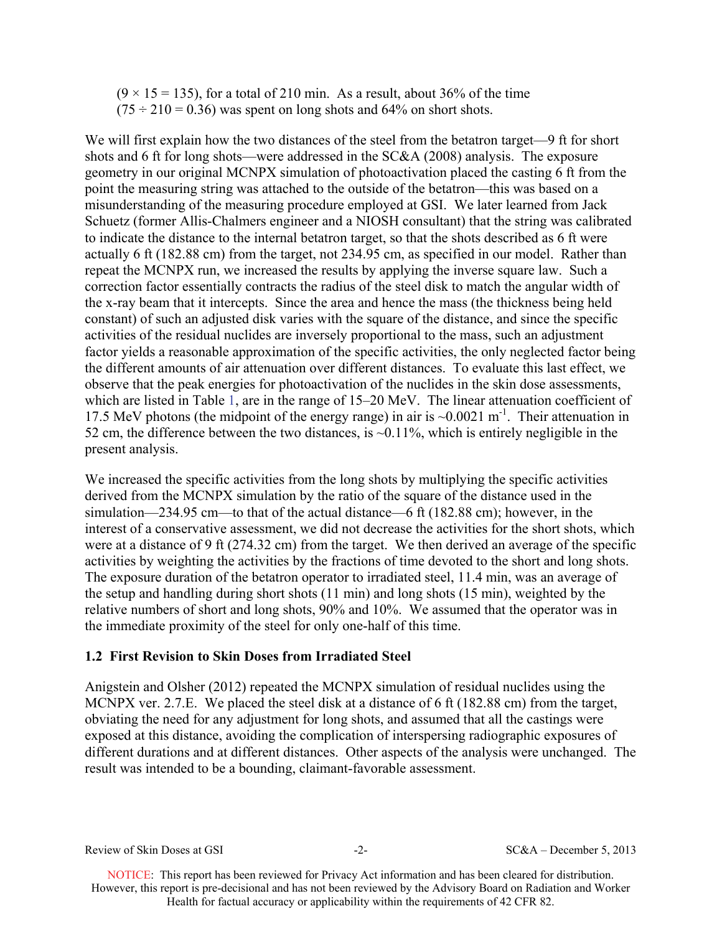$(9 \times 15 = 135)$ , for a total of 210 min. As a result, about 36% of the time  $(75 \div 210 = 0.36)$  was spent on long shots and 64% on short shots.

We will first explain how the two distances of the steel from the betatron target—9 ft for short shots and 6 ft for long shots—were addressed in the SC&A (2008) analysis. The exposure geometry in our original MCNPX simulation of photoactivation placed the casting 6 ft from the point the measuring string was attached to the outside of the betatron—this was based on a misunderstanding of the measuring procedure employed at GSI. We later learned from Jack Schuetz (former Allis-Chalmers engineer and a NIOSH consultant) that the string was calibrated to indicate the distance to the internal betatron target, so that the shots described as 6 ft were actually 6 ft (182.88 cm) from the target, not 234.95 cm, as specified in our model. Rather than repeat the MCNPX run, we increased the results by applying the inverse square law. Such a correction factor essentially contracts the radius of the steel disk to match the angular width of the x-ray beam that it intercepts. Since the area and hence the mass (the thickness being held constant) of such an adjusted disk varies with the square of the distance, and since the specific activities of the residual nuclides are inversely proportional to the mass, such an adjustment factor yields a reasonable approximation of the specific activities, the only neglected factor being the different amounts of air attenuation over different distances. To evaluate this last effect, we observe that the peak energies for photoactivation of the nuclides in the skin dose assessments, which are listed in Table 1, are in the range of 15–20 MeV. The linear attenuation coefficient of 17.5 MeV photons (the midpoint of the energy range) in air is  $\sim 0.0021 \text{ m}^{-1}$ . Their attenuation in 52 cm, the difference between the two distances, is  $\sim$  0.11%, which is entirely negligible in the present analysis.

We increased the specific activities from the long shots by multiplying the specific activities derived from the MCNPX simulation by the ratio of the square of the distance used in the simulation—234.95 cm—to that of the actual distance—6 ft (182.88 cm); however, in the interest of a conservative assessment, we did not decrease the activities for the short shots, which were at a distance of 9 ft (274.32 cm) from the target. We then derived an average of the specific activities by weighting the activities by the fractions of time devoted to the short and long shots. The exposure duration of the betatron operator to irradiated steel, 11.4 min, was an average of the setup and handling during short shots (11 min) and long shots (15 min), weighted by the relative numbers of short and long shots, 90% and 10%. We assumed that the operator was in the immediate proximity of the steel for only one-half of this time.

## **1.2 First Revision to Skin Doses from Irradiated Steel**

Anigstein and Olsher (2012) repeated the MCNPX simulation of residual nuclides using the MCNPX ver. 2.7.E. We placed the steel disk at a distance of 6 ft (182.88 cm) from the target, obviating the need for any adjustment for long shots, and assumed that all the castings were exposed at this distance, avoiding the complication of interspersing radiographic exposures of different durations and at different distances. Other aspects of the analysis were unchanged. The result was intended to be a bounding, claimant-favorable assessment.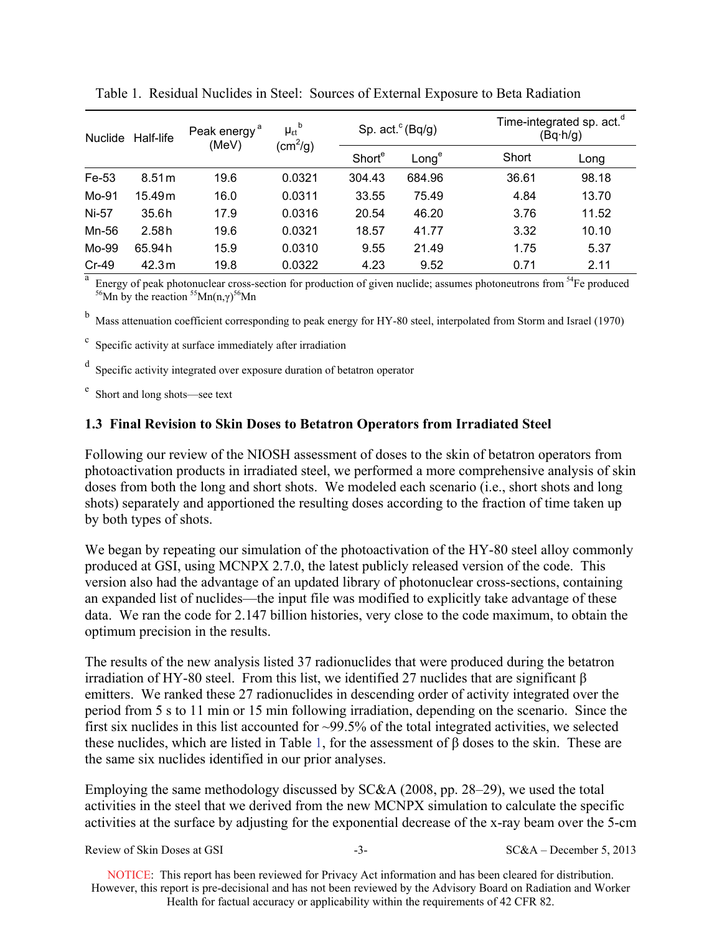| Half-life<br><b>Nuclide</b> |        | Peak energy <sup>a</sup><br>(MeV) | $\mu_{\epsilon t}^{\;\;\;\;b}$ | Sp. $act.^c(Bq/q)$ |        |       | Time-integrated sp. act. <sup>d</sup><br>$(Bq \cdot h/g)$ |  |
|-----------------------------|--------|-----------------------------------|--------------------------------|--------------------|--------|-------|-----------------------------------------------------------|--|
|                             |        | (cm <sup>2</sup> /g)              | Short <sup>e</sup>             | Long <sup>e</sup>  | Short  | Long  |                                                           |  |
| Fe-53                       | 8.51 m | 19.6                              | 0.0321                         | 304.43             | 684.96 | 36.61 | 98.18                                                     |  |
| Mo-91                       | 15.49m | 16.0                              | 0.0311                         | 33.55              | 75.49  | 4.84  | 13.70                                                     |  |
| Ni-57                       | 35.6h  | 17.9                              | 0.0316                         | 20.54              | 46.20  | 3.76  | 11.52                                                     |  |
| Mn-56                       | 2.58h  | 19.6                              | 0.0321                         | 18.57              | 41.77  | 3.32  | 10.10                                                     |  |
| Mo-99                       | 65.94h | 15.9                              | 0.0310                         | 9.55               | 21.49  | 1.75  | 5.37                                                      |  |
| $Cr-49$                     | 42.3m  | 19.8                              | 0.0322                         | 4.23               | 9.52   | 0.71  | 2.11                                                      |  |

Table 1. Residual Nuclides in Steel: Sources of External Exposure to Beta Radiation

Energy of peak photonuclear cross-section for production of given nuclide; assumes photoneutrons from <sup>54</sup>Fe produced <sup>56</sup>Mn by the reaction  ${}^{55}$ Mn(n, $\gamma$ )<sup>56</sup>Mn

b Mass attenuation coefficient corresponding to peak energy for HY-80 steel, interpolated from Storm and Israel (1970)

 $\mathbf c$ Specific activity at surface immediately after irradiation

d Specific activity integrated over exposure duration of betatron operator

e Short and long shots—see text

### **1.3 Final Revision to Skin Doses to Betatron Operators from Irradiated Steel**

Following our review of the NIOSH assessment of doses to the skin of betatron operators from photoactivation products in irradiated steel, we performed a more comprehensive analysis of skin doses from both the long and short shots. We modeled each scenario (i.e., short shots and long shots) separately and apportioned the resulting doses according to the fraction of time taken up by both types of shots.

We began by repeating our simulation of the photoactivation of the HY-80 steel alloy commonly produced at GSI, using MCNPX 2.7.0, the latest publicly released version of the code. This version also had the advantage of an updated library of photonuclear cross-sections, containing an expanded list of nuclides—the input file was modified to explicitly take advantage of these data. We ran the code for 2.147 billion histories, very close to the code maximum, to obtain the optimum precision in the results.

The results of the new analysis listed 37 radionuclides that were produced during the betatron irradiation of HY-80 steel. From this list, we identified 27 nuclides that are significant β emitters. We ranked these 27 radionuclides in descending order of activity integrated over the period from 5 s to 11 min or 15 min following irradiation, depending on the scenario. Since the first six nuclides in this list accounted for  $\sim$ 99.5% of the total integrated activities, we selected these nuclides, which are listed in Table 1, for the assessment of β doses to the skin. These are the same six nuclides identified in our prior analyses.

Employing the same methodology discussed by SC&A (2008, pp. 28–29), we used the total activities in the steel that we derived from the new MCNPX simulation to calculate the specific activities at the surface by adjusting for the exponential decrease of the x-ray beam over the 5-cm

| Review of Skin Doses at GSI |  | $SC&A - December 5, 2013$ |
|-----------------------------|--|---------------------------|
|-----------------------------|--|---------------------------|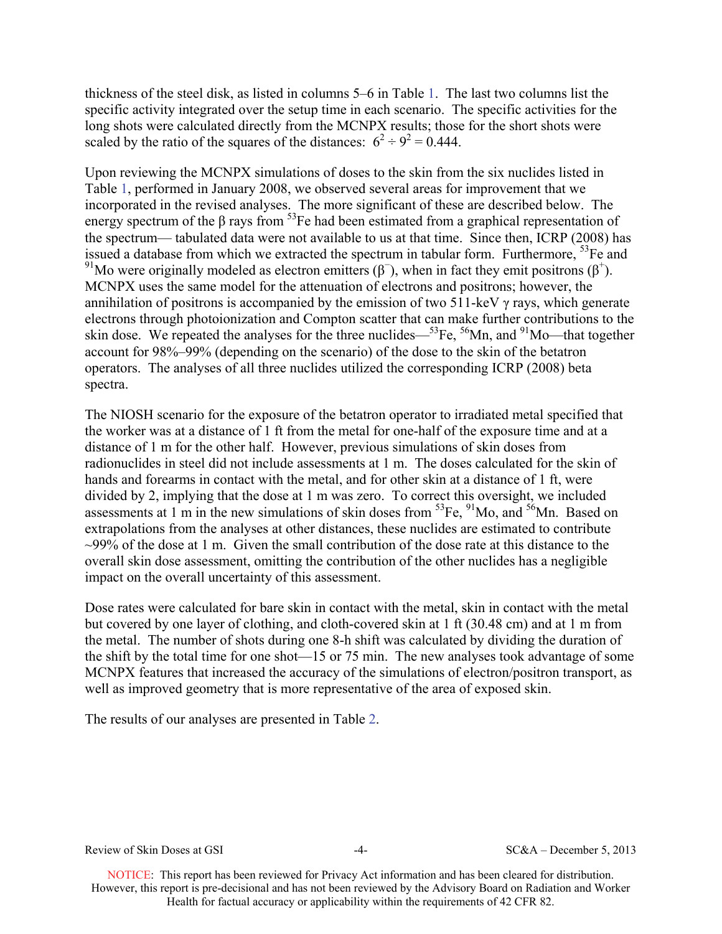thickness of the steel disk, as listed in columns 5–6 in Table 1. The last two columns list the specific activity integrated over the setup time in each scenario. The specific activities for the long shots were calculated directly from the MCNPX results; those for the short shots were scaled by the ratio of the squares of the distances:  $6^2 \div 9^2 = 0.444$ .

Upon reviewing the MCNPX simulations of doses to the skin from the six nuclides listed in Table 1, performed in January 2008, we observed several areas for improvement that we incorporated in the revised analyses. The more significant of these are described below. The energy spectrum of the  $\beta$  rays from <sup>53</sup>Fe had been estimated from a graphical representation of the spectrum— tabulated data were not available to us at that time. Since then, ICRP (2008) has issued a database from which we extracted the spectrum in tabular form. Furthermore,  ${}^{53}Fe$  and <sup>91</sup>Mo were originally modeled as electron emitters ( $\beta^-$ ), when in fact they emit positrons ( $\beta^+$ ). MCNPX uses the same model for the attenuation of electrons and positrons; however, the annihilation of positrons is accompanied by the emission of two 511-keV  $\gamma$  rays, which generate electrons through photoionization and Compton scatter that can make further contributions to the skin dose. We repeated the analyses for the three nuclides— ${}^{53}Fe$ ,  ${}^{56}Mn$ , and  ${}^{91}Mo$ —that together account for 98%–99% (depending on the scenario) of the dose to the skin of the betatron operators. The analyses of all three nuclides utilized the corresponding ICRP (2008) beta spectra.

The NIOSH scenario for the exposure of the betatron operator to irradiated metal specified that the worker was at a distance of 1 ft from the metal for one-half of the exposure time and at a distance of 1 m for the other half. However, previous simulations of skin doses from radionuclides in steel did not include assessments at 1 m. The doses calculated for the skin of hands and forearms in contact with the metal, and for other skin at a distance of 1 ft, were divided by 2, implying that the dose at 1 m was zero. To correct this oversight, we included assessments at 1 m in the new simulations of skin doses from  ${}^{53}Fe$ ,  ${}^{91}Mo$ , and  ${}^{56}Mn$ . Based on extrapolations from the analyses at other distances, these nuclides are estimated to contribute  $\sim$ 99% of the dose at 1 m. Given the small contribution of the dose rate at this distance to the overall skin dose assessment, omitting the contribution of the other nuclides has a negligible impact on the overall uncertainty of this assessment.

Dose rates were calculated for bare skin in contact with the metal, skin in contact with the metal but covered by one layer of clothing, and cloth-covered skin at 1 ft (30.48 cm) and at 1 m from the metal. The number of shots during one 8-h shift was calculated by dividing the duration of the shift by the total time for one shot—15 or 75 min. The new analyses took advantage of some MCNPX features that increased the accuracy of the simulations of electron/positron transport, as well as improved geometry that is more representative of the area of exposed skin.

The results of our analyses are presented in Table 2.

Review of Skin Doses at GSI  $-4-$  SC&A – December 5, 2013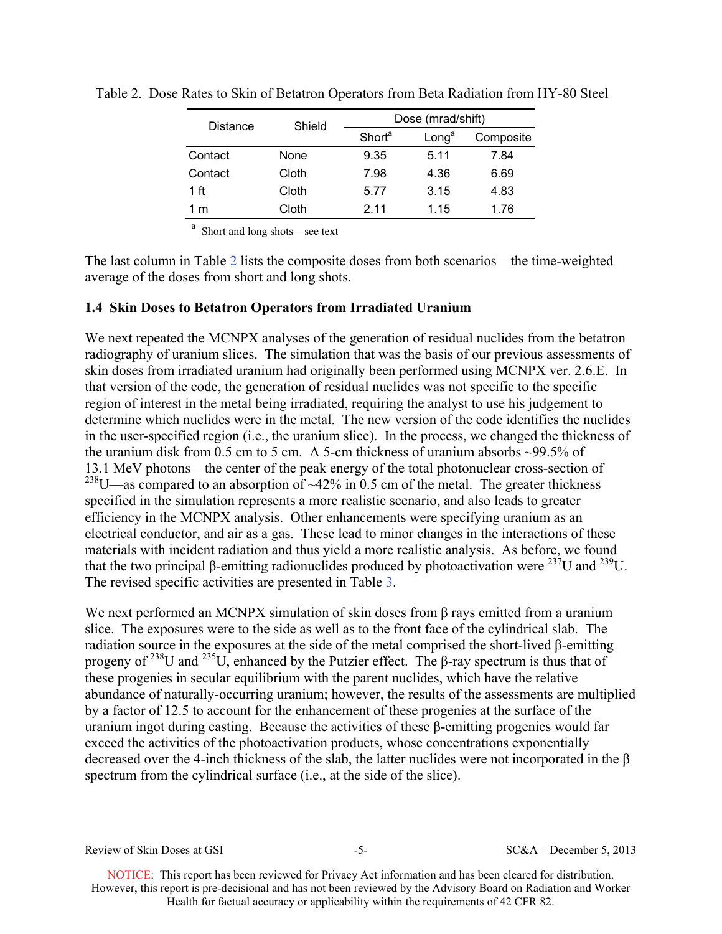| Distance | Shield | Dose (mrad/shift)  |                   |           |  |  |
|----------|--------|--------------------|-------------------|-----------|--|--|
|          |        | Short <sup>a</sup> | Long <sup>a</sup> | Composite |  |  |
| Contact  | None   | 9.35               | 5.11              | 7.84      |  |  |
| Contact  | Cloth  | 7.98               | 4.36              | 6.69      |  |  |
| 1 ft     | Cloth  | 5.77               | 3.15              | 4.83      |  |  |
| 1 m      | Cloth  | 2 1 1              | 1.15              | 1.76      |  |  |

Table 2. Dose Rates to Skin of Betatron Operators from Beta Radiation from HY-80 Steel

a Short and long shots—see text

The last column in Table 2 lists the composite doses from both scenarios—the time-weighted average of the doses from short and long shots.

## **1.4 Skin Doses to Betatron Operators from Irradiated Uranium**

We next repeated the MCNPX analyses of the generation of residual nuclides from the betatron radiography of uranium slices. The simulation that was the basis of our previous assessments of skin doses from irradiated uranium had originally been performed using MCNPX ver. 2.6.E. In that version of the code, the generation of residual nuclides was not specific to the specific region of interest in the metal being irradiated, requiring the analyst to use his judgement to determine which nuclides were in the metal. The new version of the code identifies the nuclides in the user-specified region (i.e., the uranium slice). In the process, we changed the thickness of the uranium disk from 0.5 cm to 5 cm. A 5-cm thickness of uranium absorbs ~99.5% of 13.1 MeV photons—the center of the peak energy of the total photonuclear cross-section of <sup>238</sup>U—as compared to an absorption of  $\sim$ 42% in 0.5 cm of the metal. The greater thickness specified in the simulation represents a more realistic scenario, and also leads to greater efficiency in the MCNPX analysis. Other enhancements were specifying uranium as an electrical conductor, and air as a gas. These lead to minor changes in the interactions of these materials with incident radiation and thus yield a more realistic analysis. As before, we found that the two principal β-emitting radionuclides produced by photoactivation were <sup>237</sup>U and <sup>239</sup>U. The revised specific activities are presented in Table 3.

We next performed an MCNPX simulation of skin doses from  $\beta$  rays emitted from a uranium slice. The exposures were to the side as well as to the front face of the cylindrical slab. The radiation source in the exposures at the side of the metal comprised the short-lived β-emitting progeny of <sup>238</sup>U and <sup>235</sup>U, enhanced by the Putzier effect. The β-ray spectrum is thus that of these progenies in secular equilibrium with the parent nuclides, which have the relative abundance of naturally-occurring uranium; however, the results of the assessments are multiplied by a factor of 12.5 to account for the enhancement of these progenies at the surface of the uranium ingot during casting. Because the activities of these β-emitting progenies would far exceed the activities of the photoactivation products, whose concentrations exponentially decreased over the 4-inch thickness of the slab, the latter nuclides were not incorporated in the β spectrum from the cylindrical surface (i.e., at the side of the slice).

Review of Skin Doses at GSI -5- SC&A – December 5, 2013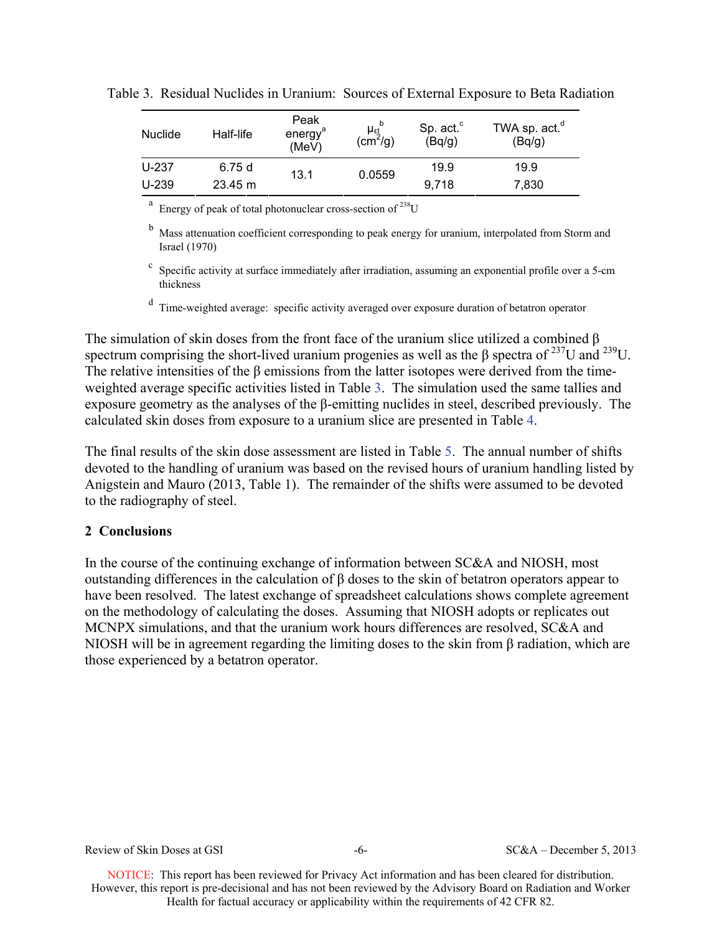| <b>Nuclide</b> | Half-life         | Peak<br>energy <sup>a</sup><br>(MeV) | $\mu_{\epsilon\mathrm{J}}$<br>$\left(\text{cm}^2/\text{g}\right)$ | Sp. act. <sup>c</sup><br>(Bq/g) | TWA sp. act. <sup>"</sup><br>(Bq/g) |
|----------------|-------------------|--------------------------------------|-------------------------------------------------------------------|---------------------------------|-------------------------------------|
| $U-237$        | 6.75 d            | 13.1                                 | 0.0559                                                            | 19.9                            | 19.9                                |
| $U-239$        | $23.45 \text{ m}$ |                                      |                                                                   | 9.718                           | 7,830                               |

Table 3. Residual Nuclides in Uranium: Sources of External Exposure to Beta Radiation

 $a<sup>a</sup>$  Energy of peak of total photonuclear cross-section of <sup>238</sup>U

<sup>b</sup> Mass attenuation coefficient corresponding to peak energy for uranium, interpolated from Storm and Israel (1970)

c Specific activity at surface immediately after irradiation, assuming an exponential profile over a 5-cm thickness

d Time-weighted average: specific activity averaged over exposure duration of betatron operator

The simulation of skin doses from the front face of the uranium slice utilized a combined β spectrum comprising the short-lived uranium progenies as well as the  $\beta$  spectra of <sup>237</sup>U and <sup>239</sup>U. The relative intensities of the β emissions from the latter isotopes were derived from the timeweighted average specific activities listed in Table 3. The simulation used the same tallies and exposure geometry as the analyses of the β-emitting nuclides in steel, described previously. The calculated skin doses from exposure to a uranium slice are presented in Table 4.

The final results of the skin dose assessment are listed in Table 5. The annual number of shifts devoted to the handling of uranium was based on the revised hours of uranium handling listed by Anigstein and Mauro (2013, Table 1). The remainder of the shifts were assumed to be devoted to the radiography of steel.

## **2 Conclusions**

In the course of the continuing exchange of information between SC&A and NIOSH, most outstanding differences in the calculation of β doses to the skin of betatron operators appear to have been resolved. The latest exchange of spreadsheet calculations shows complete agreement on the methodology of calculating the doses. Assuming that NIOSH adopts or replicates out MCNPX simulations, and that the uranium work hours differences are resolved, SC&A and NIOSH will be in agreement regarding the limiting doses to the skin from β radiation, which are those experienced by a betatron operator.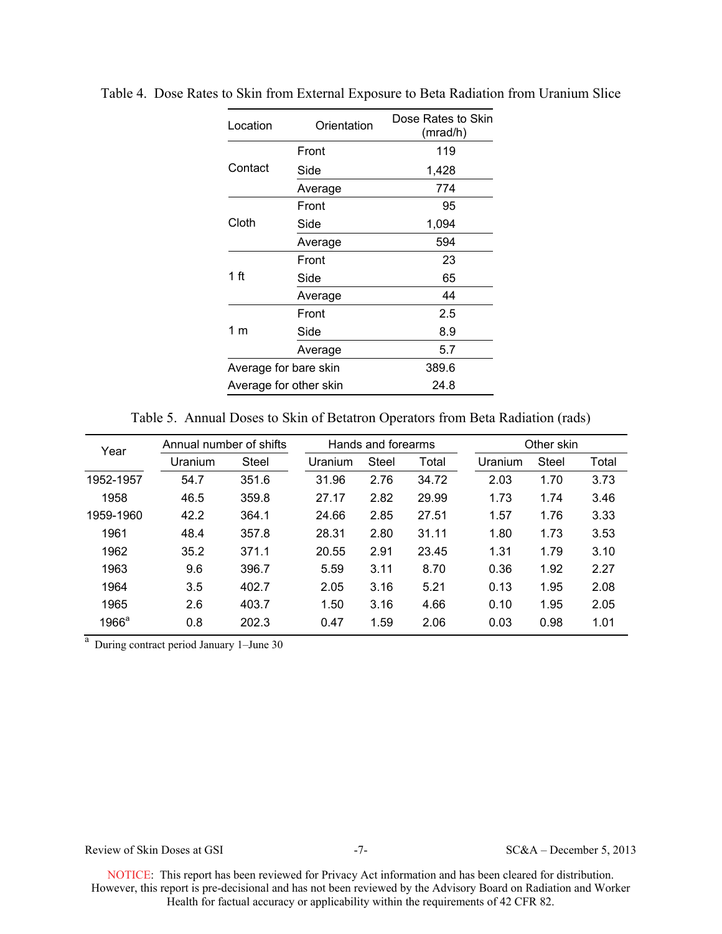| Location               | Orientation | Dose Rates to Skin<br>(mrad/h) |
|------------------------|-------------|--------------------------------|
|                        | Front       | 119                            |
| Contact                | Side        | 1,428                          |
|                        | Average     | 774                            |
|                        | Front       | 95                             |
| Cloth                  | Side        | 1,094                          |
|                        | Average     | 594                            |
| 1 ft                   | Front       | 23                             |
|                        | Side        | 65                             |
|                        | Average     | 44                             |
| 1 m                    | Front       | 2.5                            |
|                        | Side        | 8.9                            |
|                        | Average     | 5.7                            |
| Average for bare skin  |             | 389.6                          |
| Average for other skin |             | 24.8                           |

Table 4. Dose Rates to Skin from External Exposure to Beta Radiation from Uranium Slice

Table 5. Annual Doses to Skin of Betatron Operators from Beta Radiation (rads)

| Year      | Annual number of shifts |              |         | Hands and forearms |       |         | Other skin   |       |  |
|-----------|-------------------------|--------------|---------|--------------------|-------|---------|--------------|-------|--|
|           | Uranium                 | <b>Steel</b> | Uranium | <b>Steel</b>       | Total | Uranium | <b>Steel</b> | Total |  |
| 1952-1957 | 54.7                    | 351.6        | 31.96   | 2.76               | 34.72 | 2.03    | 1.70         | 3.73  |  |
| 1958      | 46.5                    | 359.8        | 27.17   | 2.82               | 29.99 | 1.73    | 1.74         | 3.46  |  |
| 1959-1960 | 42.2                    | 364.1        | 24.66   | 2.85               | 27.51 | 1.57    | 1.76         | 3.33  |  |
| 1961      | 48.4                    | 357.8        | 28.31   | 2.80               | 31.11 | 1.80    | 1.73         | 3.53  |  |
| 1962      | 35.2                    | 371.1        | 20.55   | 2.91               | 23.45 | 1.31    | 1.79         | 3.10  |  |
| 1963      | 9.6                     | 396.7        | 5.59    | 3.11               | 8.70  | 0.36    | 1.92         | 2.27  |  |
| 1964      | 3.5                     | 402.7        | 2.05    | 3.16               | 5.21  | 0.13    | 1.95         | 2.08  |  |
| 1965      | 2.6                     | 403.7        | 1.50    | 3.16               | 4.66  | 0.10    | 1.95         | 2.05  |  |
| $1966^a$  | 0.8                     | 202.3        | 0.47    | 1.59               | 2.06  | 0.03    | 0.98         | 1.01  |  |

<sup>a</sup> During contract period January 1–June 30